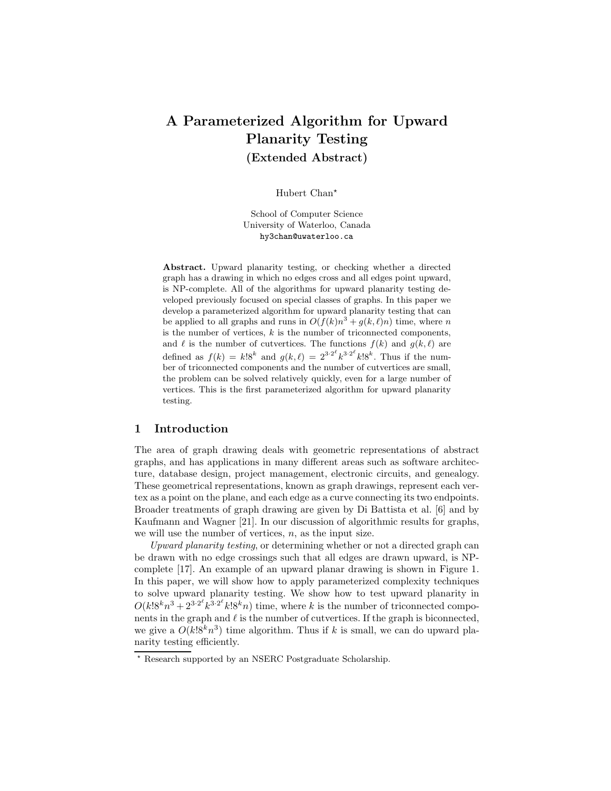# A Parameterized Algorithm for Upward Planarity Testing (Extended Abstract)

Hubert Chan?

School of Computer Science University of Waterloo, Canada hy3chan@uwaterloo.ca

Abstract. Upward planarity testing, or checking whether a directed graph has a drawing in which no edges cross and all edges point upward, is NP-complete. All of the algorithms for upward planarity testing developed previously focused on special classes of graphs. In this paper we develop a parameterized algorithm for upward planarity testing that can be applied to all graphs and runs in  $O(f(k)n^3 + g(k, \ell)n)$  time, where n is the number of vertices,  $k$  is the number of triconnected components. and  $\ell$  is the number of cutvertices. The functions  $f(k)$  and  $g(k, \ell)$  are defined as  $f(k) = k!8^k$  and  $g(k,\ell) = 2^{3\cdot2^{\ell}}k^{3\cdot2^{\ell}}k!8^k$ . Thus if the number of triconnected components and the number of cutvertices are small, the problem can be solved relatively quickly, even for a large number of vertices. This is the first parameterized algorithm for upward planarity testing.

## 1 Introduction

The area of graph drawing deals with geometric representations of abstract graphs, and has applications in many different areas such as software architecture, database design, project management, electronic circuits, and genealogy. These geometrical representations, known as graph drawings, represent each vertex as a point on the plane, and each edge as a curve connecting its two endpoints. Broader treatments of graph drawing are given by Di Battista et al. [6] and by Kaufmann and Wagner [21]. In our discussion of algorithmic results for graphs, we will use the number of vertices,  $n$ , as the input size.

Upward planarity testing, or determining whether or not a directed graph can be drawn with no edge crossings such that all edges are drawn upward, is NPcomplete [17]. An example of an upward planar drawing is shown in Figure 1. In this paper, we will show how to apply parameterized complexity techniques to solve upward planarity testing. We show how to test upward planarity in  $O(k!8^k n^3 + 2^{3\cdot 2^{\ell}} k^{3\cdot 2^{\ell}} k!8^k n)$  time, where k is the number of triconnected components in the graph and  $\ell$  is the number of cutvertices. If the graph is biconnected, we give a  $O(k!8<sup>k</sup>n<sup>3</sup>)$  time algorithm. Thus if k is small, we can do upward planarity testing efficiently.

<sup>?</sup> Research supported by an NSERC Postgraduate Scholarship.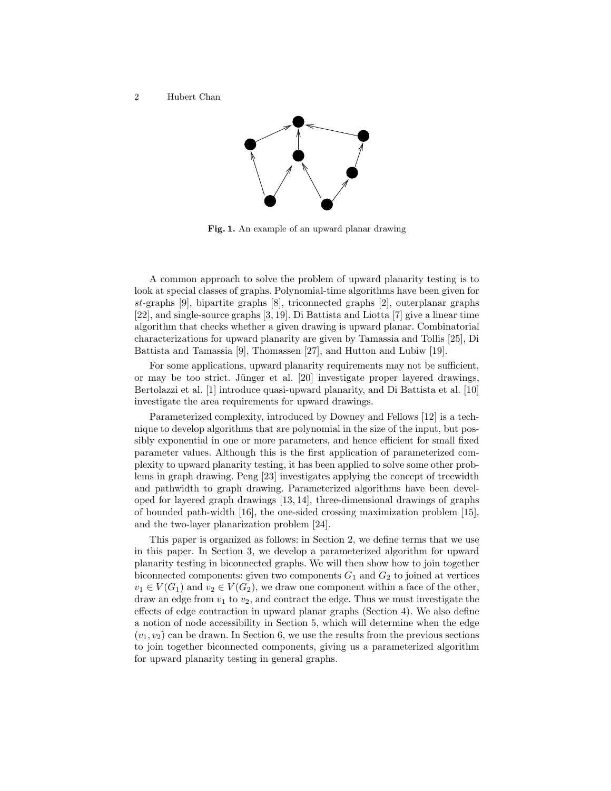#### 2 Hubert Chan



Fig. 1. An example of an upward planar drawing

A common approach to solve the problem of upward planarity testing is to look at special classes of graphs. Polynomial-time algorithms have been given for st-graphs [9], bipartite graphs [8], triconnected graphs [2], outerplanar graphs [22], and single-source graphs [3, 19]. Di Battista and Liotta [7] give a linear time algorithm that checks whether a given drawing is upward planar. Combinatorial characterizations for upward planarity are given by Tamassia and Tollis [25], Di Battista and Tamassia [9], Thomassen [27], and Hutton and Lubiw [19].

For some applications, upward planarity requirements may not be sufficient, or may be too strict. Jünger et al. [20] investigate proper layered drawings, Bertolazzi et al. [1] introduce quasi-upward planarity, and Di Battista et al. [10] investigate the area requirements for upward drawings.

Parameterized complexity, introduced by Downey and Fellows [12] is a technique to develop algorithms that are polynomial in the size of the input, but possibly exponential in one or more parameters, and hence efficient for small fixed parameter values. Although this is the first application of parameterized complexity to upward planarity testing, it has been applied to solve some other problems in graph drawing. Peng [23] investigates applying the concept of treewidth and pathwidth to graph drawing. Parameterized algorithms have been developed for layered graph drawings [13, 14], three-dimensional drawings of graphs of bounded path-width [16], the one-sided crossing maximization problem [15], and the two-layer planarization problem [24].

This paper is organized as follows: in Section 2, we define terms that we use in this paper. In Section 3, we develop a parameterized algorithm for upward planarity testing in biconnected graphs. We will then show how to join together biconnected components: given two components  $G_1$  and  $G_2$  to joined at vertices  $v_1 \in V(G_1)$  and  $v_2 \in V(G_2)$ , we draw one component within a face of the other, draw an edge from  $v_1$  to  $v_2$ , and contract the edge. Thus we must investigate the effects of edge contraction in upward planar graphs (Section 4). We also define a notion of node accessibility in Section 5, which will determine when the edge  $(v_1, v_2)$  can be drawn. In Section 6, we use the results from the previous sections to join together biconnected components, giving us a parameterized algorithm for upward planarity testing in general graphs.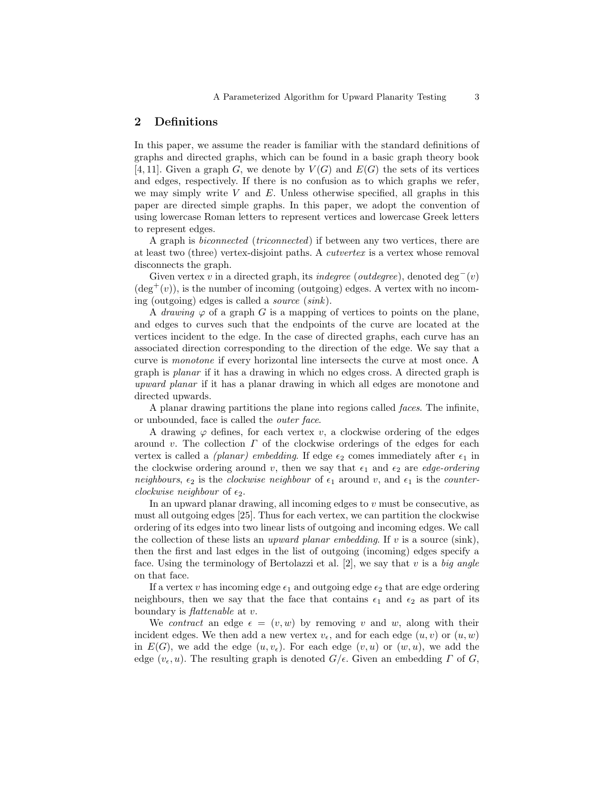## 2 Definitions

In this paper, we assume the reader is familiar with the standard definitions of graphs and directed graphs, which can be found in a basic graph theory book [4, 11]. Given a graph G, we denote by  $V(G)$  and  $E(G)$  the sets of its vertices and edges, respectively. If there is no confusion as to which graphs we refer, we may simply write  $V$  and  $E$ . Unless otherwise specified, all graphs in this paper are directed simple graphs. In this paper, we adopt the convention of using lowercase Roman letters to represent vertices and lowercase Greek letters to represent edges.

A graph is biconnected (triconnected) if between any two vertices, there are at least two (three) vertex-disjoint paths. A cutvertex is a vertex whose removal disconnects the graph.

Given vertex v in a directed graph, its *indegree* (*outdegree*), denoted deg<sup>-</sup>(v)  $(\deg^+(v))$ , is the number of incoming (outgoing) edges. A vertex with no incoming (outgoing) edges is called a source (sink).

A *drawing*  $\varphi$  of a graph G is a mapping of vertices to points on the plane, and edges to curves such that the endpoints of the curve are located at the vertices incident to the edge. In the case of directed graphs, each curve has an associated direction corresponding to the direction of the edge. We say that a curve is monotone if every horizontal line intersects the curve at most once. A graph is planar if it has a drawing in which no edges cross. A directed graph is upward planar if it has a planar drawing in which all edges are monotone and directed upwards.

A planar drawing partitions the plane into regions called faces. The infinite, or unbounded, face is called the outer face.

A drawing  $\varphi$  defines, for each vertex v, a clockwise ordering of the edges around v. The collection  $\Gamma$  of the clockwise orderings of the edges for each vertex is called a *(planar)* embedding. If edge  $\epsilon_2$  comes immediately after  $\epsilon_1$  in the clockwise ordering around v, then we say that  $\epsilon_1$  and  $\epsilon_2$  are *edge-ordering* neighbours,  $\epsilon_2$  is the *clockwise neighbour* of  $\epsilon_1$  around v, and  $\epsilon_1$  is the *counter*clockwise neighbour of  $\epsilon_2$ .

In an upward planar drawing, all incoming edges to  $v$  must be consecutive, as must all outgoing edges [25]. Thus for each vertex, we can partition the clockwise ordering of its edges into two linear lists of outgoing and incoming edges. We call the collection of these lists an upward planar embedding. If v is a source (sink), then the first and last edges in the list of outgoing (incoming) edges specify a face. Using the terminology of Bertolazzi et al.  $[2]$ , we say that v is a big angle on that face.

If a vertex v has incoming edge  $\epsilon_1$  and outgoing edge  $\epsilon_2$  that are edge ordering neighbours, then we say that the face that contains  $\epsilon_1$  and  $\epsilon_2$  as part of its boundary is flattenable at v.

We contract an edge  $\epsilon = (v, w)$  by removing v and w, along with their incident edges. We then add a new vertex  $v_{\epsilon}$ , and for each edge  $(u, v)$  or  $(u, w)$ in  $E(G)$ , we add the edge  $(u, v_{\epsilon})$ . For each edge  $(v, u)$  or  $(w, u)$ , we add the edge  $(v_{\epsilon}, u)$ . The resulting graph is denoted  $G/\epsilon$ . Given an embedding  $\Gamma$  of  $G$ ,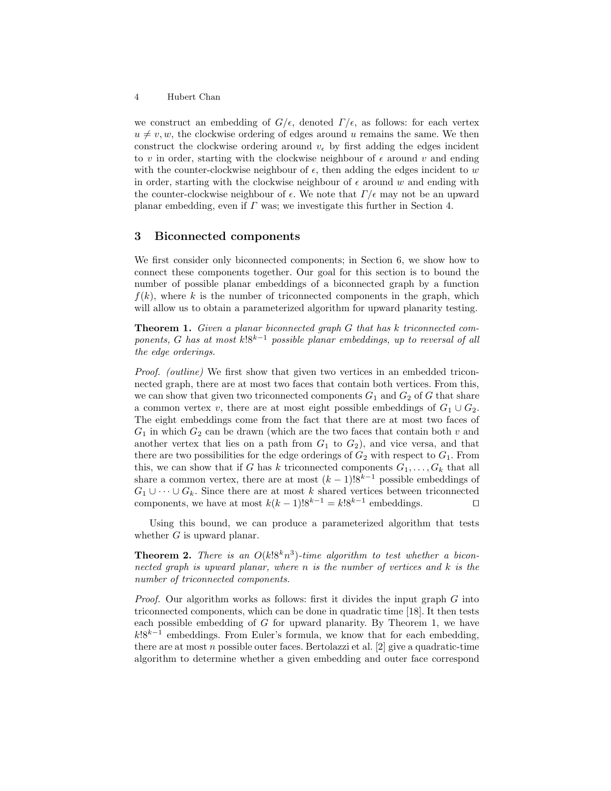we construct an embedding of  $G/\epsilon$ , denoted  $\Gamma/\epsilon$ , as follows: for each vertex  $u \neq v, w$ , the clockwise ordering of edges around u remains the same. We then construct the clockwise ordering around  $v_{\epsilon}$  by first adding the edges incident to v in order, starting with the clockwise neighbour of  $\epsilon$  around v and ending with the counter-clockwise neighbour of  $\epsilon$ , then adding the edges incident to w in order, starting with the clockwise neighbour of  $\epsilon$  around w and ending with the counter-clockwise neighbour of  $\epsilon$ . We note that  $\Gamma/\epsilon$  may not be an upward planar embedding, even if  $\Gamma$  was; we investigate this further in Section 4.

## 3 Biconnected components

We first consider only biconnected components; in Section 6, we show how to connect these components together. Our goal for this section is to bound the number of possible planar embeddings of a biconnected graph by a function  $f(k)$ , where k is the number of triconnected components in the graph, which will allow us to obtain a parameterized algorithm for upward planarity testing.

Theorem 1. Given a planar biconnected graph G that has k triconnected components, G has at most k! $8^{k-1}$  possible planar embeddings, up to reversal of all the edge orderings.

Proof. (outline) We first show that given two vertices in an embedded triconnected graph, there are at most two faces that contain both vertices. From this, we can show that given two triconnected components  $G_1$  and  $G_2$  of G that share a common vertex v, there are at most eight possible embeddings of  $G_1 \cup G_2$ . The eight embeddings come from the fact that there are at most two faces of  $G_1$  in which  $G_2$  can be drawn (which are the two faces that contain both  $v$  and another vertex that lies on a path from  $G_1$  to  $G_2$ ), and vice versa, and that there are two possibilities for the edge orderings of  $G_2$  with respect to  $G_1$ . From this, we can show that if G has k triconnected components  $G_1, \ldots, G_k$  that all share a common vertex, there are at most  $(k-1)!8^{k-1}$  possible embeddings of  $G_1 \cup \cdots \cup G_k$ . Since there are at most k shared vertices between triconnected components, we have at most  $k(k-1)!8^{k-1} = k!8^{k-1}$  embeddings.

Using this bound, we can produce a parameterized algorithm that tests whether  $G$  is upward planar.

**Theorem 2.** There is an  $O(k!8^k n^3)$ -time algorithm to test whether a biconnected graph is upward planar, where n is the number of vertices and k is the number of triconnected components.

*Proof.* Our algorithm works as follows: first it divides the input graph  $G$  into triconnected components, which can be done in quadratic time [18]. It then tests each possible embedding of  $G$  for upward planarity. By Theorem 1, we have  $k!8^{k-1}$  embeddings. From Euler's formula, we know that for each embedding, there are at most  $n$  possible outer faces. Bertolazzi et al. [2] give a quadratic-time algorithm to determine whether a given embedding and outer face correspond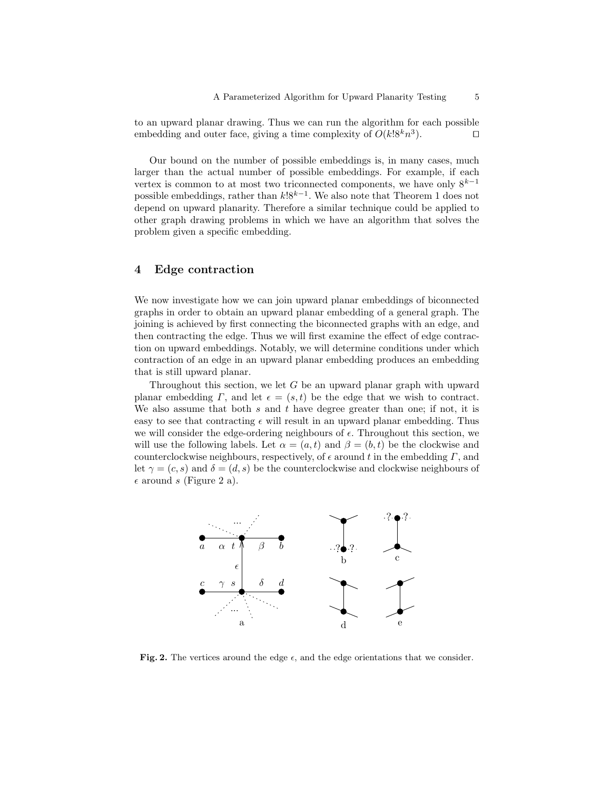to an upward planar drawing. Thus we can run the algorithm for each possible embedding and outer face, giving a time complexity of  $O(k!8^k n^3)$ ).  $\qquad \qquad \Box$ 

Our bound on the number of possible embeddings is, in many cases, much larger than the actual number of possible embeddings. For example, if each vertex is common to at most two triconnected components, we have only  $8^{k-1}$ possible embeddings, rather than  $k!8^{k-1}$ . We also note that Theorem 1 does not depend on upward planarity. Therefore a similar technique could be applied to other graph drawing problems in which we have an algorithm that solves the problem given a specific embedding.

# 4 Edge contraction

We now investigate how we can join upward planar embeddings of biconnected graphs in order to obtain an upward planar embedding of a general graph. The joining is achieved by first connecting the biconnected graphs with an edge, and then contracting the edge. Thus we will first examine the effect of edge contraction on upward embeddings. Notably, we will determine conditions under which contraction of an edge in an upward planar embedding produces an embedding that is still upward planar.

Throughout this section, we let  $G$  be an upward planar graph with upward planar embedding Γ, and let  $\epsilon = (s,t)$  be the edge that we wish to contract. We also assume that both  $s$  and  $t$  have degree greater than one; if not, it is easy to see that contracting  $\epsilon$  will result in an upward planar embedding. Thus we will consider the edge-ordering neighbours of  $\epsilon$ . Throughout this section, we will use the following labels. Let  $\alpha = (a, t)$  and  $\beta = (b, t)$  be the clockwise and counterclockwise neighbours, respectively, of  $\epsilon$  around t in the embedding  $\Gamma$ , and let  $\gamma = (c, s)$  and  $\delta = (d, s)$  be the counterclockwise and clockwise neighbours of  $\epsilon$  around s (Figure 2 a).



Fig. 2. The vertices around the edge  $\epsilon$ , and the edge orientations that we consider.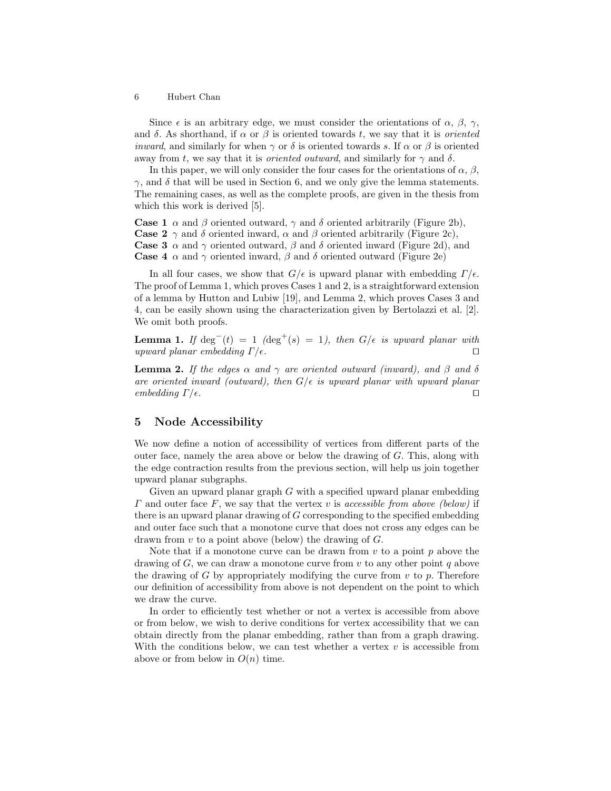#### 6 Hubert Chan

Since  $\epsilon$  is an arbitrary edge, we must consider the orientations of  $\alpha$ ,  $\beta$ ,  $\gamma$ , and  $\delta$ . As shorthand, if  $\alpha$  or  $\beta$  is oriented towards t, we say that it is *oriented inward*, and similarly for when  $\gamma$  or  $\delta$  is oriented towards s. If  $\alpha$  or  $\beta$  is oriented away from t, we say that it is *oriented outward*, and similarly for  $\gamma$  and  $\delta$ .

In this paper, we will only consider the four cases for the orientations of  $\alpha$ ,  $\beta$ ,  $\gamma$ , and  $\delta$  that will be used in Section 6, and we only give the lemma statements. The remaining cases, as well as the complete proofs, are given in the thesis from which this work is derived [5].

**Case 1**  $\alpha$  and  $\beta$  oriented outward,  $\gamma$  and  $\delta$  oriented arbitrarily (Figure 2b), Case 2  $\gamma$  and  $\delta$  oriented inward,  $\alpha$  and  $\beta$  oriented arbitrarily (Figure 2c), Case 3  $\alpha$  and  $\gamma$  oriented outward,  $\beta$  and  $\delta$  oriented inward (Figure 2d), and **Case 4**  $\alpha$  and  $\gamma$  oriented inward,  $\beta$  and  $\delta$  oriented outward (Figure 2e)

In all four cases, we show that  $G/\epsilon$  is upward planar with embedding  $\Gamma/\epsilon$ . The proof of Lemma 1, which proves Cases 1 and 2, is a straightforward extension of a lemma by Hutton and Lubiw [19], and Lemma 2, which proves Cases 3 and 4, can be easily shown using the characterization given by Bertolazzi et al. [2]. We omit both proofs.

**Lemma 1.** If deg<sup>-</sup>(t) = 1 (deg<sup>+</sup>(s) = 1), then  $G/\epsilon$  is upward planar with upward planar embedding  $\Gamma/\epsilon$ .

**Lemma 2.** If the edges  $\alpha$  and  $\gamma$  are oriented outward (inward), and  $\beta$  and  $\delta$ are oriented inward (outward), then  $G/\epsilon$  is upward planar with upward planar embedding  $\Gamma/\epsilon$ .

## 5 Node Accessibility

We now define a notion of accessibility of vertices from different parts of the outer face, namely the area above or below the drawing of G. This, along with the edge contraction results from the previous section, will help us join together upward planar subgraphs.

Given an upward planar graph  $G$  with a specified upward planar embedding  $\Gamma$  and outer face  $F$ , we say that the vertex v is accessible from above (below) if there is an upward planar drawing of  $G$  corresponding to the specified embedding and outer face such that a monotone curve that does not cross any edges can be drawn from  $v$  to a point above (below) the drawing of  $G$ .

Note that if a monotone curve can be drawn from  $v$  to a point  $p$  above the drawing of G, we can draw a monotone curve from  $v$  to any other point q above the drawing of G by appropriately modifying the curve from  $v$  to  $p$ . Therefore our definition of accessibility from above is not dependent on the point to which we draw the curve.

In order to efficiently test whether or not a vertex is accessible from above or from below, we wish to derive conditions for vertex accessibility that we can obtain directly from the planar embedding, rather than from a graph drawing. With the conditions below, we can test whether a vertex  $v$  is accessible from above or from below in  $O(n)$  time.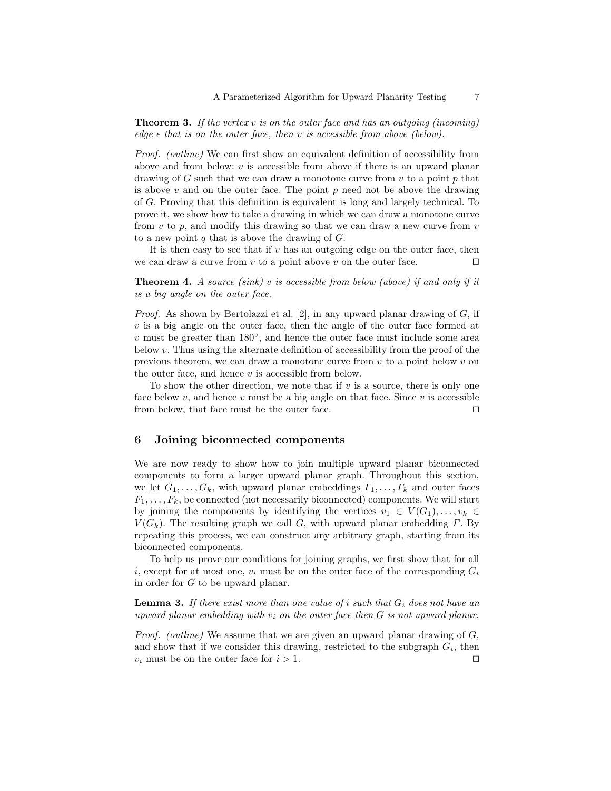**Theorem 3.** If the vertex v is on the outer face and has an outgoing (incoming) edge  $\epsilon$  that is on the outer face, then v is accessible from above (below).

Proof. (outline) We can first show an equivalent definition of accessibility from above and from below:  $v$  is accessible from above if there is an upward planar drawing of G such that we can draw a monotone curve from  $v$  to a point  $p$  that is above  $v$  and on the outer face. The point  $p$  need not be above the drawing of G. Proving that this definition is equivalent is long and largely technical. To prove it, we show how to take a drawing in which we can draw a monotone curve from v to p, and modify this drawing so that we can draw a new curve from  $v$ to a new point  $q$  that is above the drawing of  $G$ .

It is then easy to see that if  $v$  has an outgoing edge on the outer face, then we can draw a curve from  $v$  to a point above  $v$  on the outer face.  $\Box$ 

**Theorem 4.** A source (sink) v is accessible from below (above) if and only if it is a big angle on the outer face.

*Proof.* As shown by Bertolazzi et al. [2], in any upward planar drawing of  $G$ , if  $v$  is a big angle on the outer face, then the angle of the outer face formed at  $v$  must be greater than 180 $^{\circ}$ , and hence the outer face must include some area below  $v$ . Thus using the alternate definition of accessibility from the proof of the previous theorem, we can draw a monotone curve from  $v$  to a point below  $v$  on the outer face, and hence  $v$  is accessible from below.

To show the other direction, we note that if  $v$  is a source, there is only one face below v, and hence v must be a big angle on that face. Since v is accessible from below, that face must be the outer face.  $\Box$ 

#### 6 Joining biconnected components

We are now ready to show how to join multiple upward planar biconnected components to form a larger upward planar graph. Throughout this section, we let  $G_1, \ldots, G_k$ , with upward planar embeddings  $\Gamma_1, \ldots, \Gamma_k$  and outer faces  $F_1, \ldots, F_k$ , be connected (not necessarily biconnected) components. We will start by joining the components by identifying the vertices  $v_1 \in V(G_1), \ldots, v_k \in$  $V(G_k)$ . The resulting graph we call G, with upward planar embedding  $\Gamma$ . By repeating this process, we can construct any arbitrary graph, starting from its biconnected components.

To help us prove our conditions for joining graphs, we first show that for all i, except for at most one,  $v_i$  must be on the outer face of the corresponding  $G_i$ in order for G to be upward planar.

**Lemma 3.** If there exist more than one value of i such that  $G_i$  does not have an upward planar embedding with  $v_i$  on the outer face then  $G$  is not upward planar.

*Proof.* (outline) We assume that we are given an upward planar drawing of  $G$ , and show that if we consider this drawing, restricted to the subgraph  $G_i$ , then  $v_i$  must be on the outer face for  $i > 1$ .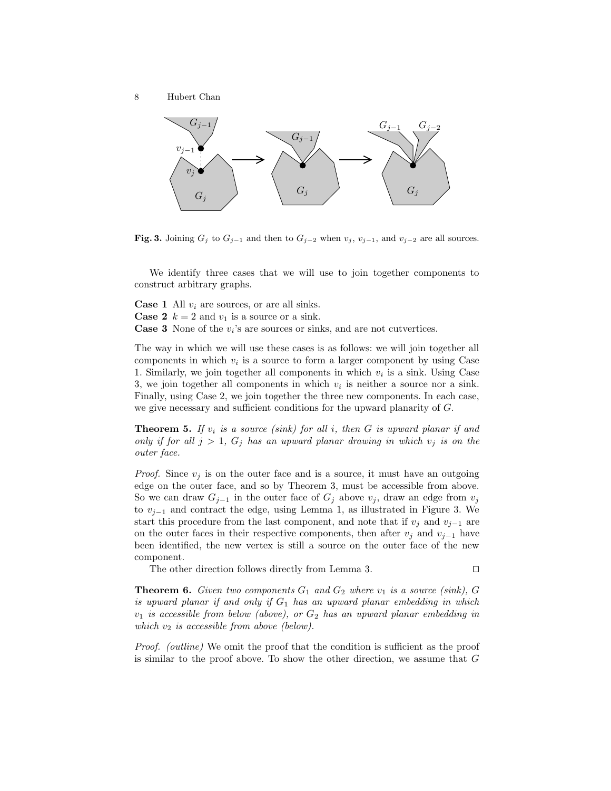8 Hubert Chan



Fig. 3. Joining  $G_j$  to  $G_{j-1}$  and then to  $G_{j-2}$  when  $v_j$ ,  $v_{j-1}$ , and  $v_{j-2}$  are all sources.

We identify three cases that we will use to join together components to construct arbitrary graphs.

**Case 1** All  $v_i$  are sources, or are all sinks. **Case 2**  $k = 2$  and  $v_1$  is a source or a sink. **Case 3** None of the  $v_i$ 's are sources or sinks, and are not cutvertices.

The way in which we will use these cases is as follows: we will join together all components in which  $v_i$  is a source to form a larger component by using Case 1. Similarly, we join together all components in which  $v_i$  is a sink. Using Case 3, we join together all components in which  $v_i$  is neither a source nor a sink. Finally, using Case 2, we join together the three new components. In each case, we give necessary and sufficient conditions for the upward planarity of G.

**Theorem 5.** If  $v_i$  is a source (sink) for all i, then G is upward planar if and only if for all  $j > 1$ ,  $G_j$  has an upward planar drawing in which  $v_j$  is on the outer face.

*Proof.* Since  $v_i$  is on the outer face and is a source, it must have an outgoing edge on the outer face, and so by Theorem 3, must be accessible from above. So we can draw  $G_{j-1}$  in the outer face of  $G_j$  above  $v_j$ , draw an edge from  $v_j$ to  $v_{j-1}$  and contract the edge, using Lemma 1, as illustrated in Figure 3. We start this procedure from the last component, and note that if  $v_j$  and  $v_{j-1}$  are on the outer faces in their respective components, then after  $v_j$  and  $v_{j-1}$  have been identified, the new vertex is still a source on the outer face of the new component.

The other direction follows directly from Lemma 3.  $\Box$ 

**Theorem 6.** Given two components  $G_1$  and  $G_2$  where  $v_1$  is a source (sink), G is upward planar if and only if  $G_1$  has an upward planar embedding in which  $v_1$  is accessible from below (above), or  $G_2$  has an upward planar embedding in which  $v_2$  is accessible from above (below).

Proof. (outline) We omit the proof that the condition is sufficient as the proof is similar to the proof above. To show the other direction, we assume that  $G$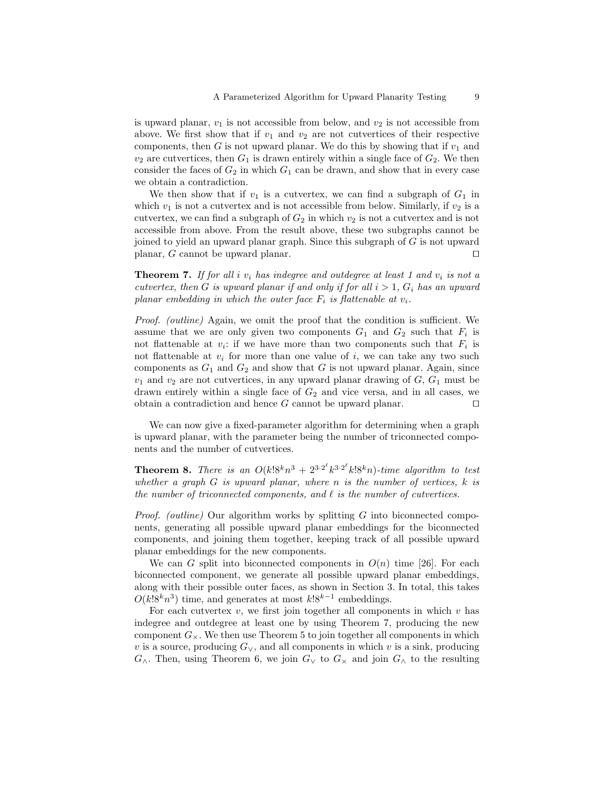is upward planar,  $v_1$  is not accessible from below, and  $v_2$  is not accessible from above. We first show that if  $v_1$  and  $v_2$  are not cutvertices of their respective components, then G is not upward planar. We do this by showing that if  $v_1$  and  $v_2$  are cutvertices, then  $G_1$  is drawn entirely within a single face of  $G_2$ . We then consider the faces of  $G_2$  in which  $G_1$  can be drawn, and show that in every case we obtain a contradiction.

We then show that if  $v_1$  is a cutvertex, we can find a subgraph of  $G_1$  in which  $v_1$  is not a cutvertex and is not accessible from below. Similarly, if  $v_2$  is a cutvertex, we can find a subgraph of  $G_2$  in which  $v_2$  is not a cutvertex and is not accessible from above. From the result above, these two subgraphs cannot be joined to yield an upward planar graph. Since this subgraph of G is not upward planar,  $G$  cannot be upward planar.  $\square$ 

**Theorem 7.** If for all i  $v_i$  has indegree and outdegree at least 1 and  $v_i$  is not a cutvertex, then G is upward planar if and only if for all  $i > 1$ ,  $G_i$  has an upward planar embedding in which the outer face  $F_i$  is flattenable at  $v_i$ .

Proof. (outline) Again, we omit the proof that the condition is sufficient. We assume that we are only given two components  $G_1$  and  $G_2$  such that  $F_i$  is not flattenable at  $v_i$ : if we have more than two components such that  $F_i$  is not flattenable at  $v_i$  for more than one value of i, we can take any two such components as  $G_1$  and  $G_2$  and show that G is not upward planar. Again, since  $v_1$  and  $v_2$  are not cutvertices, in any upward planar drawing of  $G, G_1$  must be drawn entirely within a single face of  $G_2$  and vice versa, and in all cases, we obtain a contradiction and hence  $G$  cannot be upward planar.  $\square$ 

We can now give a fixed-parameter algorithm for determining when a graph is upward planar, with the parameter being the number of triconnected components and the number of cutvertices.

**Theorem 8.** There is an  $O(k!8^k n^3 + 2^{3\cdot 2^{\ell}} k^{3\cdot 2^{\ell}} k!8^k n)$ -time algorithm to test whether a graph  $G$  is upward planar, where n is the number of vertices, k is the number of triconnected components, and  $\ell$  is the number of cutvertices.

*Proof.* (outline) Our algorithm works by splitting  $G$  into biconnected components, generating all possible upward planar embeddings for the biconnected components, and joining them together, keeping track of all possible upward planar embeddings for the new components.

We can G split into biconnected components in  $O(n)$  time [26]. For each biconnected component, we generate all possible upward planar embeddings, along with their possible outer faces, as shown in Section 3. In total, this takes  $O(k!8^k n^3)$  time, and generates at most  $k!8^{k-1}$  embeddings.

For each cutvertex  $v$ , we first join together all components in which  $v$  has indegree and outdegree at least one by using Theorem 7, producing the new component  $G_{\times}$ . We then use Theorem 5 to join together all components in which v is a source, producing  $G_{\vee}$ , and all components in which v is a sink, producing  $G_{\wedge}$ . Then, using Theorem 6, we join  $G_{\vee}$  to  $G_{\times}$  and join  $G_{\wedge}$  to the resulting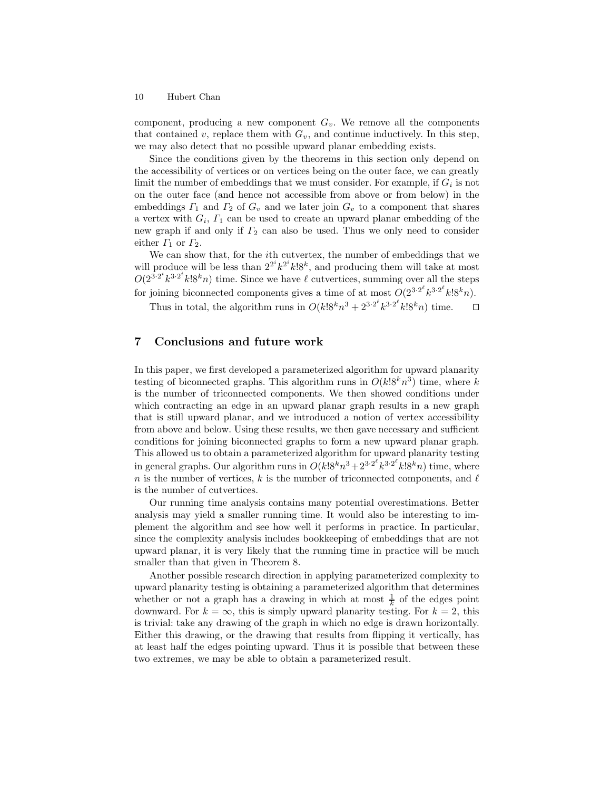#### 10 Hubert Chan

component, producing a new component  $G_v$ . We remove all the components that contained v, replace them with  $G_v$ , and continue inductively. In this step, we may also detect that no possible upward planar embedding exists.

Since the conditions given by the theorems in this section only depend on the accessibility of vertices or on vertices being on the outer face, we can greatly limit the number of embeddings that we must consider. For example, if  $G_i$  is not on the outer face (and hence not accessible from above or from below) in the embeddings  $\Gamma_1$  and  $\Gamma_2$  of  $G_v$  and we later join  $G_v$  to a component that shares a vertex with  $G_i$ ,  $\Gamma_1$  can be used to create an upward planar embedding of the new graph if and only if  $\Gamma_2$  can also be used. Thus we only need to consider either  $\Gamma_1$  or  $\Gamma_2$ .

We can show that, for the ith cutvertex, the number of embeddings that we will produce will be less than  $2^{2^i}k^{2^i}k!8^k$ , and producing them will take at most  $O(2^{3\cdot2^i}k^{3\cdot2^i}k!8^kn)$  time. Since we have  $\ell$  cutvertices, summing over all the steps for joining biconnected components gives a time of at most  $O(2^{3\cdot 2^{\ell}}k^{3\cdot 2^{\ell}}k!8^k n)$ .

Thus in total, the algorithm runs in  $O(k!8^k n^3 + 2^{3\cdot 2^{\ell}} k^{3\cdot 2^{\ell}} k!8^k n)$  time.  $\Box$ 

# 7 Conclusions and future work

In this paper, we first developed a parameterized algorithm for upward planarity testing of biconnected graphs. This algorithm runs in  $O(k!8<sup>k</sup>n<sup>3</sup>)$  time, where k is the number of triconnected components. We then showed conditions under which contracting an edge in an upward planar graph results in a new graph that is still upward planar, and we introduced a notion of vertex accessibility from above and below. Using these results, we then gave necessary and sufficient conditions for joining biconnected graphs to form a new upward planar graph. This allowed us to obtain a parameterized algorithm for upward planarity testing in general graphs. Our algorithm runs in  $O(k!8^k n^3 + 2^{3\cdot2^\ell} k^{3\cdot2^\ell} k!8^k n)$  time, where n is the number of vertices, k is the number of triconnected components, and  $\ell$ is the number of cutvertices.

Our running time analysis contains many potential overestimations. Better analysis may yield a smaller running time. It would also be interesting to implement the algorithm and see how well it performs in practice. In particular, since the complexity analysis includes bookkeeping of embeddings that are not upward planar, it is very likely that the running time in practice will be much smaller than that given in Theorem 8.

Another possible research direction in applying parameterized complexity to upward planarity testing is obtaining a parameterized algorithm that determines whether or not a graph has a drawing in which at most  $\frac{1}{k}$  of the edges point downward. For  $k = \infty$ , this is simply upward planarity testing. For  $k = 2$ , this is trivial: take any drawing of the graph in which no edge is drawn horizontally. Either this drawing, or the drawing that results from flipping it vertically, has at least half the edges pointing upward. Thus it is possible that between these two extremes, we may be able to obtain a parameterized result.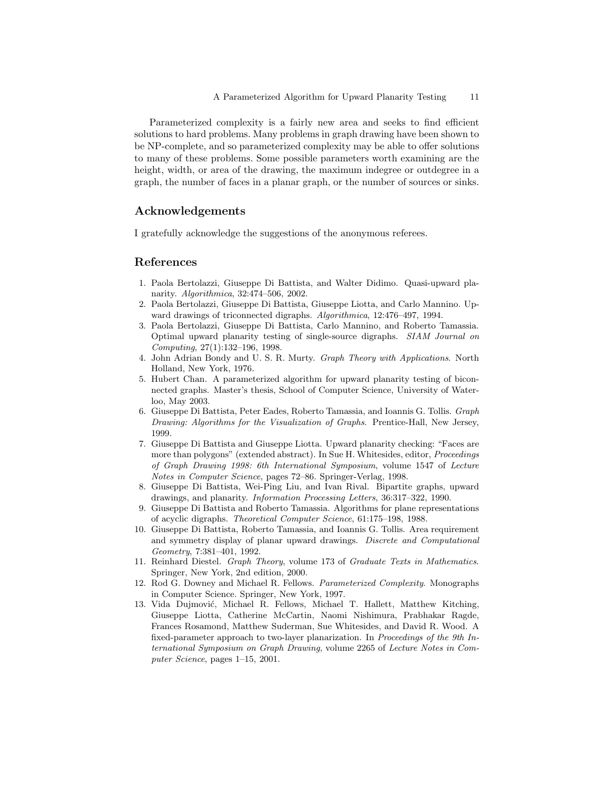Parameterized complexity is a fairly new area and seeks to find efficient solutions to hard problems. Many problems in graph drawing have been shown to be NP-complete, and so parameterized complexity may be able to offer solutions to many of these problems. Some possible parameters worth examining are the height, width, or area of the drawing, the maximum indegree or outdegree in a graph, the number of faces in a planar graph, or the number of sources or sinks.

# Acknowledgements

I gratefully acknowledge the suggestions of the anonymous referees.

#### References

- 1. Paola Bertolazzi, Giuseppe Di Battista, and Walter Didimo. Quasi-upward planarity. Algorithmica, 32:474–506, 2002.
- 2. Paola Bertolazzi, Giuseppe Di Battista, Giuseppe Liotta, and Carlo Mannino. Upward drawings of triconnected digraphs. Algorithmica, 12:476–497, 1994.
- 3. Paola Bertolazzi, Giuseppe Di Battista, Carlo Mannino, and Roberto Tamassia. Optimal upward planarity testing of single-source digraphs. SIAM Journal on Computing, 27(1):132–196, 1998.
- 4. John Adrian Bondy and U. S. R. Murty. Graph Theory with Applications. North Holland, New York, 1976.
- 5. Hubert Chan. A parameterized algorithm for upward planarity testing of biconnected graphs. Master's thesis, School of Computer Science, University of Waterloo, May 2003.
- 6. Giuseppe Di Battista, Peter Eades, Roberto Tamassia, and Ioannis G. Tollis. Graph Drawing: Algorithms for the Visualization of Graphs. Prentice-Hall, New Jersey, 1999.
- 7. Giuseppe Di Battista and Giuseppe Liotta. Upward planarity checking: "Faces are more than polygons" (extended abstract). In Sue H. Whitesides, editor, Proceedings of Graph Drawing 1998: 6th International Symposium, volume 1547 of Lecture Notes in Computer Science, pages 72–86. Springer-Verlag, 1998.
- 8. Giuseppe Di Battista, Wei-Ping Liu, and Ivan Rival. Bipartite graphs, upward drawings, and planarity. Information Processing Letters, 36:317–322, 1990.
- 9. Giuseppe Di Battista and Roberto Tamassia. Algorithms for plane representations of acyclic digraphs. Theoretical Computer Science, 61:175–198, 1988.
- 10. Giuseppe Di Battista, Roberto Tamassia, and Ioannis G. Tollis. Area requirement and symmetry display of planar upward drawings. Discrete and Computational Geometry, 7:381–401, 1992.
- 11. Reinhard Diestel. Graph Theory, volume 173 of Graduate Texts in Mathematics. Springer, New York, 2nd edition, 2000.
- 12. Rod G. Downey and Michael R. Fellows. Parameterized Complexity. Monographs in Computer Science. Springer, New York, 1997.
- 13. Vida Dujmović, Michael R. Fellows, Michael T. Hallett, Matthew Kitching, Giuseppe Liotta, Catherine McCartin, Naomi Nishimura, Prabhakar Ragde, Frances Rosamond, Matthew Suderman, Sue Whitesides, and David R. Wood. A fixed-parameter approach to two-layer planarization. In Proceedings of the 9th International Symposium on Graph Drawing, volume 2265 of Lecture Notes in Computer Science, pages 1–15, 2001.